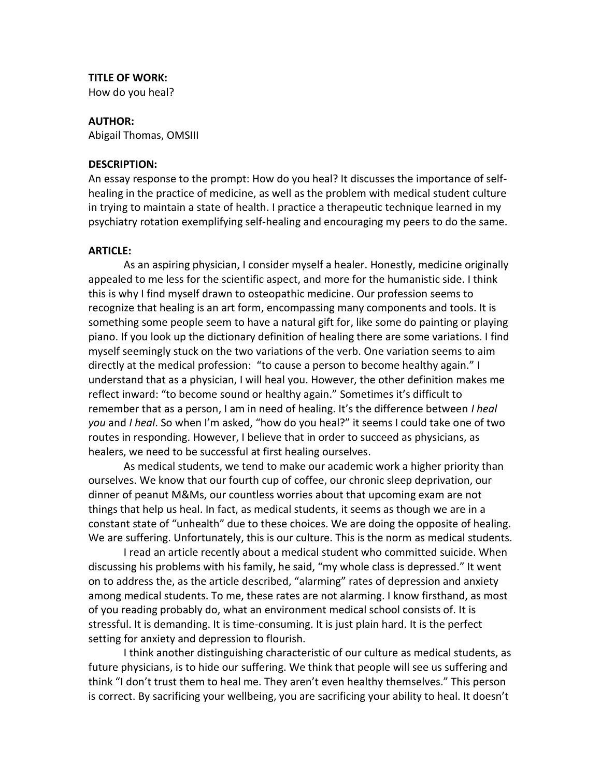# **TITLE OF WORK:**

How do you heal?

### **AUTHOR:**

Abigail Thomas, OMSIII

#### **DESCRIPTION:**

An essay response to the prompt: How do you heal? It discusses the importance of selfhealing in the practice of medicine, as well as the problem with medical student culture in trying to maintain a state of health. I practice a therapeutic technique learned in my psychiatry rotation exemplifying self-healing and encouraging my peers to do the same.

#### **ARTICLE:**

As an aspiring physician, I consider myself a healer. Honestly, medicine originally appealed to me less for the scientific aspect, and more for the humanistic side. I think this is why I find myself drawn to osteopathic medicine. Our profession seems to recognize that healing is an art form, encompassing many components and tools. It is something some people seem to have a natural gift for, like some do painting or playing piano. If you look up the dictionary definition of healing there are some variations. I find myself seemingly stuck on the two variations of the verb. One variation seems to aim directly at the medical profession: "to cause a person to become healthy again." I understand that as a physician, I will heal you. However, the other definition makes me reflect inward: "to become sound or healthy again." Sometimes it's difficult to remember that as a person, I am in need of healing. It's the difference between *I heal you* and *I heal*. So when I'm asked, "how do you heal?" it seems I could take one of two routes in responding. However, I believe that in order to succeed as physicians, as healers, we need to be successful at first healing ourselves.

As medical students, we tend to make our academic work a higher priority than ourselves. We know that our fourth cup of coffee, our chronic sleep deprivation, our dinner of peanut M&Ms, our countless worries about that upcoming exam are not things that help us heal. In fact, as medical students, it seems as though we are in a constant state of "unhealth" due to these choices. We are doing the opposite of healing. We are suffering. Unfortunately, this is our culture. This is the norm as medical students.

I read an article recently about a medical student who committed suicide. When discussing his problems with his family, he said, "my whole class is depressed." It went on to address the, as the article described, "alarming" rates of depression and anxiety among medical students. To me, these rates are not alarming. I know firsthand, as most of you reading probably do, what an environment medical school consists of. It is stressful. It is demanding. It is time-consuming. It is just plain hard. It is the perfect setting for anxiety and depression to flourish.

I think another distinguishing characteristic of our culture as medical students, as future physicians, is to hide our suffering. We think that people will see us suffering and think "I don't trust them to heal me. They aren't even healthy themselves." This person is correct. By sacrificing your wellbeing, you are sacrificing your ability to heal. It doesn't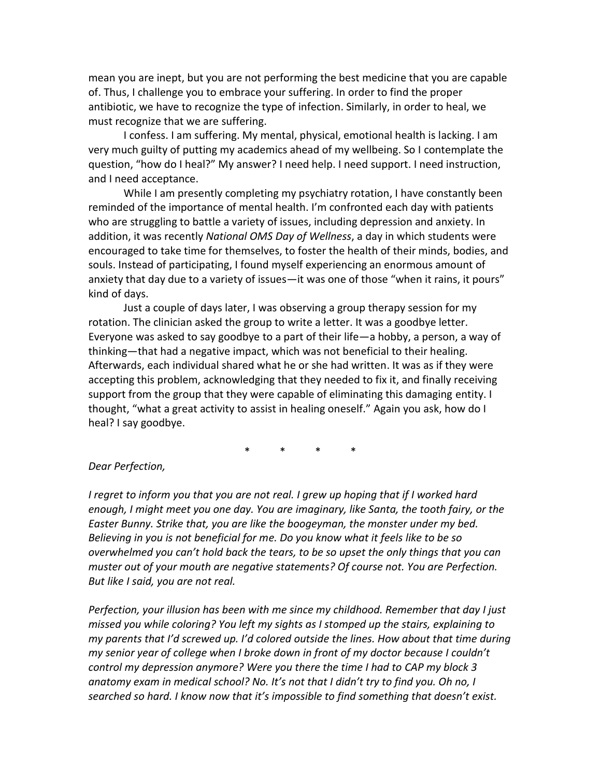mean you are inept, but you are not performing the best medicine that you are capable of. Thus, I challenge you to embrace your suffering. In order to find the proper antibiotic, we have to recognize the type of infection. Similarly, in order to heal, we must recognize that we are suffering.

I confess. I am suffering. My mental, physical, emotional health is lacking. I am very much guilty of putting my academics ahead of my wellbeing. So I contemplate the question, "how do I heal?" My answer? I need help. I need support. I need instruction, and I need acceptance.

While I am presently completing my psychiatry rotation, I have constantly been reminded of the importance of mental health. I'm confronted each day with patients who are struggling to battle a variety of issues, including depression and anxiety. In addition, it was recently *National OMS Day of Wellness*, a day in which students were encouraged to take time for themselves, to foster the health of their minds, bodies, and souls. Instead of participating, I found myself experiencing an enormous amount of anxiety that day due to a variety of issues—it was one of those "when it rains, it pours" kind of days.

Just a couple of days later, I was observing a group therapy session for my rotation. The clinician asked the group to write a letter. It was a goodbye letter. Everyone was asked to say goodbye to a part of their life—a hobby, a person, a way of thinking—that had a negative impact, which was not beneficial to their healing. Afterwards, each individual shared what he or she had written. It was as if they were accepting this problem, acknowledging that they needed to fix it, and finally receiving support from the group that they were capable of eliminating this damaging entity. I thought, "what a great activity to assist in healing oneself." Again you ask, how do I heal? I say goodbye.

\* \* \* \*

## *Dear Perfection,*

*I regret to inform you that you are not real. I grew up hoping that if I worked hard enough, I might meet you one day. You are imaginary, like Santa, the tooth fairy, or the Easter Bunny. Strike that, you are like the boogeyman, the monster under my bed. Believing in you is not beneficial for me. Do you know what it feels like to be so overwhelmed you can't hold back the tears, to be so upset the only things that you can muster out of your mouth are negative statements? Of course not. You are Perfection. But like I said, you are not real.*

*Perfection, your illusion has been with me since my childhood. Remember that day I just missed you while coloring? You left my sights as I stomped up the stairs, explaining to my parents that I'd screwed up. I'd colored outside the lines. How about that time during my senior year of college when I broke down in front of my doctor because I couldn't control my depression anymore? Were you there the time I had to CAP my block 3 anatomy exam in medical school? No. It's not that I didn't try to find you. Oh no, I searched so hard. I know now that it's impossible to find something that doesn't exist.*